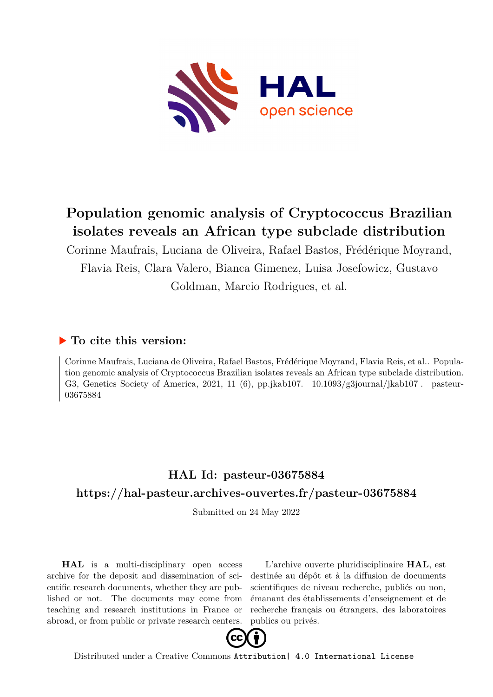

# **Population genomic analysis of Cryptococcus Brazilian isolates reveals an African type subclade distribution**

Corinne Maufrais, Luciana de Oliveira, Rafael Bastos, Frédérique Moyrand, Flavia Reis, Clara Valero, Bianca Gimenez, Luisa Josefowicz, Gustavo Goldman, Marcio Rodrigues, et al.

# **To cite this version:**

Corinne Maufrais, Luciana de Oliveira, Rafael Bastos, Frédérique Moyrand, Flavia Reis, et al.. Population genomic analysis of Cryptococcus Brazilian isolates reveals an African type subclade distribution. G3, Genetics Society of America, 2021, 11 (6), pp.jkab107.  $10.1093/g3$ journal/jkab107. pasteur-03675884

# **HAL Id: pasteur-03675884 <https://hal-pasteur.archives-ouvertes.fr/pasteur-03675884>**

Submitted on 24 May 2022

**HAL** is a multi-disciplinary open access archive for the deposit and dissemination of scientific research documents, whether they are published or not. The documents may come from teaching and research institutions in France or abroad, or from public or private research centers.

L'archive ouverte pluridisciplinaire **HAL**, est destinée au dépôt et à la diffusion de documents scientifiques de niveau recherche, publiés ou non, émanant des établissements d'enseignement et de recherche français ou étrangers, des laboratoires publics ou privés.



Distributed under a Creative Commons [Attribution| 4.0 International License](http://creativecommons.org/licenses/by/4.0/)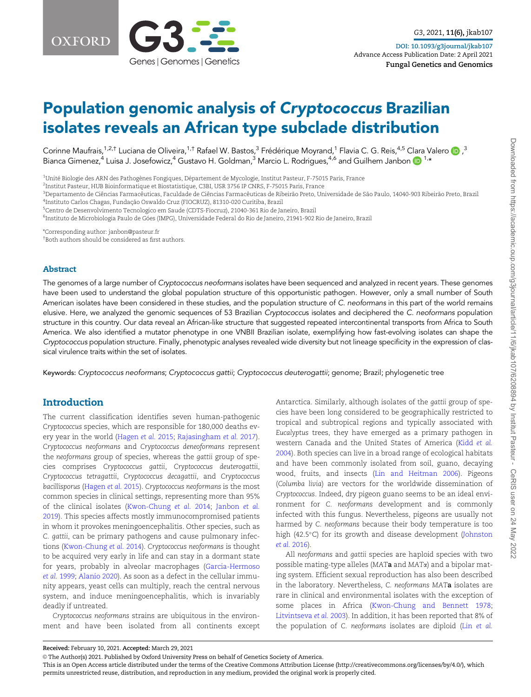

# Population genomic analysis of Cryptococcus Brazilian isolates reveals an African type subclade distribution

Corinne Maufrais, $^{1,2, \dagger}$  Luciana de Oliveira, $^{1, \dagger}$  Rafael W. Bastos, $^3$  Frédérique Moyrand, $^1$  Flavia C. G. Reis, $^{4,5}$  Clara Valero  $\bigcirc$  ,  $^3$ Bianca Gimenez,<sup>4</sup> Luisa J. Josefowicz,<sup>4</sup> Gustavo H. Goldman,<sup>3</sup> Marcio L. Rodrigues,<sup>4,6</sup> and Guilhem Janbon  $\bigcirc$ <sup>1,\*</sup>

 $^{\rm 1}$ Unité Biologie des ARN des Pathogènes Fongiques, Département de Mycologie, Institut Pasteur, F-75015 Paris, France

2 Institut Pasteur, HUB Bioinformatique et Biostatistique, C3BI, USR 3756 IP CNRS, F-75015 Paris, France

<sup>3</sup>Departamento de Ciências Farmacêuticas, Faculdade de Ciências Farmacêuticas de Ribeirão Preto, Universidade de São Paulo, 14040-903 Ribeirão Preto, Brazil <sup>4</sup>Instituto Carlos Chagas, Fundação Oswaldo Cruz (FIOCRUZ), 81310-020 Curitiba, Brazil

<sup>5</sup>Centro de Desenvolvimento Tecnologico em Saude (CDTS-Fiocruz), 21040-361 Rio de Janeiro, Brazil

<sup>6</sup>Instituto de Microbiologia Paulo de Góes (IMPG), Universidade Federal do Rio de Janeiro, 21941-902 Rio de Janeiro, Brazil

\*Corresponding author: janbon@pasteur.fr

† Both authors should be considered as first authors.

#### Abstract

The genomes of a large number of Cryptococcus neoformans isolates have been sequenced and analyzed in recent years. These genomes have been used to understand the global population structure of this opportunistic pathogen. However, only a small number of South American isolates have been considered in these studies, and the population structure of C. neoformans in this part of the world remains elusive. Here, we analyzed the genomic sequences of 53 Brazilian Cryptococcus isolates and deciphered the C. neoformans population structure in this country. Our data reveal an African-like structure that suggested repeated intercontinental transports from Africa to South America. We also identified a mutator phenotype in one VNBII Brazilian isolate, exemplifying how fast-evolving isolates can shape the Cryptococcus population structure. Finally, phenotypic analyses revealed wide diversity but not lineage specificity in the expression of classical virulence traits within the set of isolates.

Keywords: Cryptococcus neoformans; Cryptococcus gattii; Cryptococcus deuterogattii; genome; Brazil; phylogenetic tree

# Introduction

The current classification identifies seven human-pathogenic Cryptococcus species, which are responsible for 180,000 deaths every year in the world (Hagen et al. 2015; Rajasingham et al. 2017). Cryptococcus neoformans and Cryptococcus deneoformans represent the neoformans group of species, whereas the gattii group of species comprises Cryptococcus gattii, Cryptococcus deuterogattii, Cryptococcus tetragattii, Cryptococcus decagattii, and Cryptococcus bacillisporus (Hagen et al. 2015). Cryptococcus neoformans is the most common species in clinical settings, representing more than 95% of the clinical isolates (Kwon-Chung et al. 2014; Janbon et al. 2019). This species affects mostly immunocompromised patients in whom it provokes meningoencephalitis. Other species, such as C. gattii, can be primary pathogens and cause pulmonary infections (Kwon-Chung et al. 2014). Cryptococcus neoformans is thought to be acquired very early in life and can stay in a dormant state for years, probably in alveolar macrophages (Garcia-Hermoso et al. 1999; Alanio 2020). As soon as a defect in the cellular immunity appears, yeast cells can multiply, reach the central nervous system, and induce meningoencephalitis, which is invariably deadly if untreated.

Cryptococcus neoformans strains are ubiquitous in the environment and have been isolated from all continents except

Antarctica. Similarly, although isolates of the gattii group of species have been long considered to be geographically restricted to tropical and subtropical regions and typically associated with Eucalyptus trees, they have emerged as a primary pathogen in western Canada and the United States of America (Kidd et al. 2004). Both species can live in a broad range of ecological habitats and have been commonly isolated from soil, guano, decaying wood, fruits, and insects (Lin and Heitman 2006). Pigeons (Columba livia) are vectors for the worldwide dissemination of Cryptococcus. Indeed, dry pigeon guano seems to be an ideal environment for C. neoformans development and is commonly infected with this fungus. Nevertheless, pigeons are usually not harmed by C. neoformans because their body temperature is too high (42.5°C) for its growth and disease development (Johnston et al. 2016).

All neoformans and gattii species are haploid species with two possible mating-type alleles (MAT $a$  and MAT $\alpha$ ) and a bipolar mating system. Efficient sexual reproduction has also been described in the laboratory. Nevertheless, C. neoformans MATa isolates are rare in clinical and environmental isolates with the exception of some places in Africa (Kwon-Chung and Bennett 1978; Litvintseva et al. 2003). In addition, it has been reported that 8% of the population of C. neoformans isolates are diploid (Lin et al.

V<sup>C</sup> The Author(s) 2021. Published by Oxford University Press on behalf of Genetics Society of America.

Received: February 10, 2021. Accepted: March 29, 2021

This is an Open Access article distributed under the terms of the Creative Commons Attribution License (http://creativecommons.org/licenses/by/4.0/), which permits unrestricted reuse, distribution, and reproduction in any medium, provided the original work is properly cited.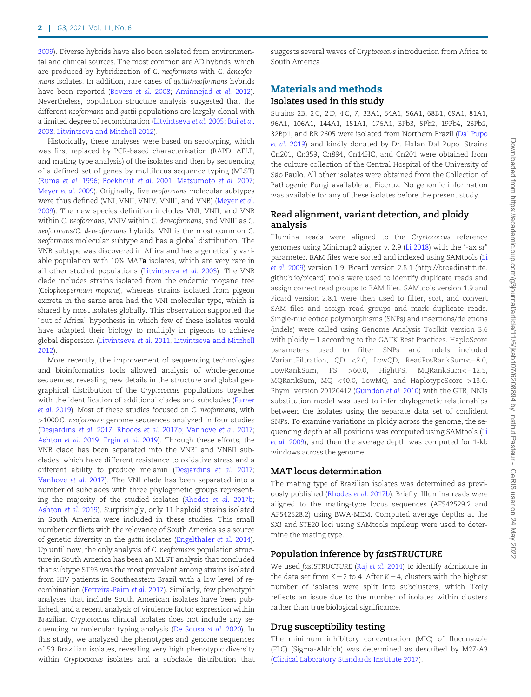2009). Diverse hybrids have also been isolated from environmental and clinical sources. The most common are AD hybrids, which are produced by hybridization of C. neoformans with C. deneoformans isolates. In addition, rare cases of gattii/neoformans hybrids have been reported (Bovers et al. 2008; Aminnejad et al. 2012). Nevertheless, population structure analysis suggested that the different neoformans and gattii populations are largely clonal with a limited degree of recombination (Litvintseva et al. 2005; Bui et al. 2008; Litvintseva and Mitchell 2012).

Historically, these analyses were based on serotyping, which was first replaced by PCR-based characterization (RAPD, AFLP, and mating type analysis) of the isolates and then by sequencing of a defined set of genes by multilocus sequence typing (MLST) (Ruma et al. 1996; Boekhout et al. 2001; Matsumoto et al. 2007; Meyer et al. 2009). Originally, five neoformans molecular subtypes were thus defined (VNI, VNII, VNIV, VNIII, and VNB) (Meyer et al. 2009). The new species definition includes VNI, VNII, and VNB within C. neoformans, VNIV within C. deneoformans, and VNIII as C. neoformans/C. deneoformans hybrids. VNI is the most common C. neoformans molecular subtype and has a global distribution. The VNB subtype was discovered in Africa and has a genetically variable population with 10% MATa isolates, which are very rare in all other studied populations (Litvintseva et al. 2003). The VNB clade includes strains isolated from the endemic mopane tree (Colophospermum mopane), whereas strains isolated from pigeon excreta in the same area had the VNI molecular type, which is shared by most isolates globally. This observation supported the "out of Africa" hypothesis in which few of these isolates would have adapted their biology to multiply in pigeons to achieve global dispersion (Litvintseva et al. 2011; Litvintseva and Mitchell 2012).

More recently, the improvement of sequencing technologies and bioinformatics tools allowed analysis of whole-genome sequences, revealing new details in the structure and global geographical distribution of the Cryptococcus populations together with the identification of additional clades and subclades (Farrer et al. 2019). Most of these studies focused on C. neoformans, with >1000 C. neoformans genome sequences analyzed in four studies (Desjardins et al. 2017; Rhodes et al. 2017b; Vanhove et al. 2017; Ashton et al. 2019; Ergin et al. 2019). Through these efforts, the VNB clade has been separated into the VNBI and VNBII subclades, which have different resistance to oxidative stress and a different ability to produce melanin (Desjardins et al. 2017; Vanhove et al. 2017). The VNI clade has been separated into a number of subclades with three phylogenetic groups representing the majority of the studied isolates (Rhodes et al. 2017b; Ashton et al. 2019). Surprisingly, only 11 haploid strains isolated in South America were included in these studies. This small number conflicts with the relevance of South America as a source of genetic diversity in the gattii isolates (Engelthaler et al. 2014). Up until now, the only analysis of C. neoformans population structure in South America has been an MLST analysis that concluded that subtype ST93 was the most prevalent among strains isolated from HIV patients in Southeastern Brazil with a low level of recombination (Ferreira-Paim et al. 2017). Similarly, few phenotypic analyses that include South American isolates have been published, and a recent analysis of virulence factor expression within Brazilian Cryptococcus clinical isolates does not include any sequencing or molecular typing analysis (De Sousa et al. 2020). In this study, we analyzed the phenotypes and genome sequences of 53 Brazilian isolates, revealing very high phenotypic diversity within Cryptococcus isolates and a subclade distribution that suggests several waves of Cryptococcus introduction from Africa to South America.

# Materials and methods Isolates used in this study

Strains 2B, 2 C, 2 D, 4 C, 7, 33A1, 54A1, 56A1, 68B1, 69A1, 81A1, 96A1, 106A1, 144A1, 151A1, 176A1, 3Pb3, 5Pb2, 19Pb4, 23Pb2, 32Bp1, and RR 2605 were isolated from Northern Brazil (Dal Pupo et al. 2019) and kindly donated by Dr. Halan Dal Pupo. Strains Cn201, Cn359, Cn894, Cn14HC, and Cn201 were obtained from the culture collection of the Central Hospital of the University of São Paulo. All other isolates were obtained from the Collection of Pathogenic Fungi available at Fiocruz. No genomic information was available for any of these isolates before the present study.

# Read alignment, variant detection, and ploidy analysis

Illumina reads were aligned to the Cryptococcus reference genomes using Minimap2 aligner v. 2.9 (Li 2018) with the "-ax sr" parameter. BAM files were sorted and indexed using SAMtools (Li et al. 2009) version 1.9. Picard version 2.8.1 ([http://broadinstitute.](http://broadinstitute.github.io/picard) [github.io/picard](http://broadinstitute.github.io/picard)) tools were used to identify duplicate reads and assign correct read groups to BAM files. SAMtools version 1.9 and Picard version 2.8.1 were then used to filter, sort, and convert SAM files and assign read groups and mark duplicate reads. Single-nucleotide polymorphisms (SNPs) and insertions/deletions (indels) were called using Genome Analysis Toolkit version 3.6 with  $ploidy = 1$  according to the GATK Best Practices. HaploScore parameters used to filter SNPs and indels included VariantFiltration,  $OD < 2.0$ , LowQD, ReadPosRankSum $<-8.0$ , LowRankSum, FS >60.0, HightFS, MQRankSum<-12.5, MQRankSum, MQ <40.0, LowMQ, and HaplotypeScore >13.0. Phyml version 20120412 (Guindon et al. 2010) with the GTR, NNIs substitution model was used to infer phylogenetic relationships between the isolates using the separate data set of confident SNPs. To examine variations in ploidy across the genome, the sequencing depth at all positions was computed using SAMtools (Li et al. 2009), and then the average depth was computed for 1-kb windows across the genome.

# MAT locus determination

The mating type of Brazilian isolates was determined as previously published (Rhodes et al. 2017b). Briefly, Illumina reads were aligned to the mating-type locus sequences (AF542529.2 and AF542528.2) using BWA-MEM. Computed average depths at the SXI and STE20 loci using SAMtools mpileup were used to determine the mating type.

# Population inference by fastSTRUCTURE

We used fastSTRUCTURE (Raj et al. 2014) to identify admixture in the data set from  $K = 2$  to 4. After  $K = 4$ , clusters with the highest number of isolates were split into subclusters, which likely reflects an issue due to the number of isolates within clusters rather than true biological significance.

# Drug susceptibility testing

The minimum inhibitory concentration (MIC) of fluconazole (FLC) (Sigma-Aldrich) was determined as described by M27-A3 (Clinical Laboratory Standards Institute 2017).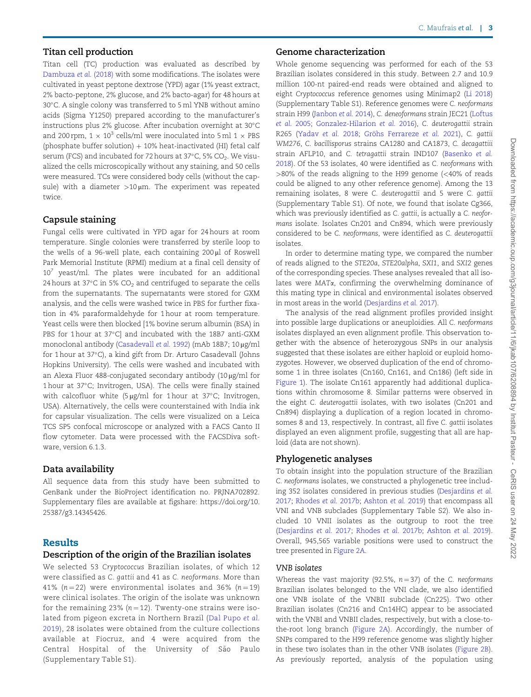## Titan cell production

Titan cell (TC) production was evaluated as described by Dambuza et al. (2018) with some modifications. The isolates were cultivated in yeast peptone dextrose (YPD) agar (1% yeast extract, 2% bacto-peptone, 2% glucose, and 2% bacto-agar) for 48 hours at 30-C. A single colony was transferred to 5 ml YNB without amino acids (Sigma Y1250) prepared according to the manufacturer's instructions plus 2% glucose. After incubation overnight at 30-C and 200 rpm,  $1 \times 10^3$  cells/ml were inoculated into 5 ml  $1 \times PBS$ (phosphate buffer solution)  $+10%$  heat-inactivated (HI) fetal calf serum (FCS) and incubated for 72 hours at 37°C, 5% CO<sub>2</sub>. We visualized the cells microscopically without any staining, and 50 cells were measured. TCs were considered body cells (without the capsule) with a diameter  $>10 \mu m$ . The experiment was repeated twice.

#### Capsule staining

Fungal cells were cultivated in YPD agar for 24 hours at room temperature. Single colonies were transferred by sterile loop to the wells of a 96-well plate, each containing  $200 \mu l$  of Roswell Park Memorial Institute (RPMI) medium at a final cell density of  $10^7$  yeast/ml. The plates were incubated for an additional 24 hours at 37°C in 5% CO $_2$  and centrifuged to separate the cells from the supernatants. The supernatants were stored for GXM analysis, and the cells were washed twice in PBS for further fixation in 4% paraformaldehyde for 1 hour at room temperature. Yeast cells were then blocked [1% bovine serum albumin (BSA) in PBS for 1 hour at 37°C] and incubated with the 18B7 anti-GXM monoclonal antibody (Casadevall et al. 1992) (mAb 18B7; 10 µg/ml for 1 hour at 37-C), a kind gift from Dr. Arturo Casadevall (Johns Hopkins University). The cells were washed and incubated with an Alexa Fluor 488-conjugated secondary antibody  $(10 \,\mu\text{g/ml}$  for 1 hour at 37°C; Invitrogen, USA). The cells were finally stained with calcofluor white (5 µg/ml for 1 hour at 37°C; Invitrogen, USA). Alternatively, the cells were counterstained with India ink for capsular visualization. The cells were visualized on a Leica TCS SP5 confocal microscope or analyzed with a FACS Canto II flow cytometer. Data were processed with the FACSDiva software, version 6.1.3.

#### Data availability

All sequence data from this study have been submitted to GenBank under the BioProject identification no. PRJNA702892. Supplementary files are available at figshare: [https://doi.org/10.](https://doi.org/10.25387/g3.14345426) [25387/g3.14345426.](https://doi.org/10.25387/g3.14345426)

## Results

#### Description of the origin of the Brazilian isolates

We selected 53 Cryptococcus Brazilian isolates, of which 12 were classified as C. gattii and 41 as C. neoformans. More than 41% ( $n = 22$ ) were environmental isolates and 36% ( $n = 19$ ) were clinical isolates. The origin of the isolate was unknown for the remaining 23% ( $n = 12$ ). Twenty-one strains were isolated from pigeon excreta in Northern Brazil (Dal Pupo et al. 2019), 28 isolates were obtained from the culture collections available at Fiocruz, and 4 were acquired from the Central Hospital of the University of São Paulo (Supplementary Table S1).

#### Genome characterization

Whole genome sequencing was performed for each of the 53 Brazilian isolates considered in this study. Between 2.7 and 10.9 million 100-nt paired-end reads were obtained and aligned to eight Cryptococcus reference genomes using Minimap2 (Li 2018) (Supplementary Table S1). Reference genomes were C. neoformans strain H99 (Janbon et al. 2014), C. deneoformans strain JEC21 (Loftus et al. 2005; Gonzalez-Hilarion et al. 2016), C. deuterogattii strain R265 (Yadav et al. 2018; Gröhs Ferrareze et al. 2021), C. gattii WM276, C. bacillisporus strains CA1280 and CA1873, C. decagattiii strain AFLP10, and C. tetragattii strain IND107 (Basenko et al. 2018). Of the 53 isolates, 40 were identified as C. neoformans with >80% of the reads aligning to the H99 genome (<40% of reads could be aligned to any other reference genome). Among the 13 remaining isolates, 8 were C. deuterogattii and 5 were C. gattii (Supplementary Table S1). Of note, we found that isolate Cg366, which was previously identified as C. gattii, is actually a C. neoformans isolate. Isolates Cn201 and Cn894, which were previously considered to be C. neoformans, were identified as C. deuterogattii isolates.

In order to determine mating type, we compared the number of reads aligned to the STE20a, STE20alpha, SXI1, and SXI2 genes of the corresponding species. These analyses revealed that all isolates were MATa, confirming the overwhelming dominance of this mating type in clinical and environmental isolates observed in most areas in the world (Desjardins et al. 2017).

The analysis of the read alignment profiles provided insight into possible large duplications or aneuploidies. All C. neoformans isolates displayed an even alignment profile. This observation together with the absence of heterozygous SNPs in our analysis suggested that these isolates are either haploid or euploid homozygotes. However, we observed duplication of the end of chromosome 1 in three isolates (Cn160, Cn161, and Cn186) (left side in Figure 1). The isolate Cn161 apparently had additional duplications within chromosome 8. Similar patterns were observed in the eight C. deuterogattii isolates, with two isolates (Cn201 and Cn894) displaying a duplication of a region located in chromosomes 8 and 13, respectively. In contrast, all five C. gattii isolates displayed an even alignment profile, suggesting that all are haploid (data are not shown).

#### Phylogenetic analyses

To obtain insight into the population structure of the Brazilian C. neoformans isolates, we constructed a phylogenetic tree including 352 isolates considered in previous studies (Desjardins et al. 2017; Rhodes et al. 2017b; Ashton et al. 2019) that encompass all VNI and VNB subclades (Supplementary Table S2). We also included 10 VNII isolates as the outgroup to root the tree (Desjardins et al. 2017; Rhodes et al. 2017b; Ashton et al. 2019). Overall, 945,565 variable positions were used to construct the tree presented in Figure 2A.

# VNB isolates

Whereas the vast majority (92.5%,  $n = 37$ ) of the C. neoformans Brazilian isolates belonged to the VNI clade, we also identified one VNB isolate of the VNBII subclade (Cn225). Two other Brazilian isolates (Cn216 and Cn14HC) appear to be associated with the VNBI and VNBII clades, respectively, but with a close-tothe-root long branch (Figure 2A). Accordingly, the number of SNPs compared to the H99 reference genome was slightly higher in these two isolates than in the other VNB isolates (Figure 2B). As previously reported, analysis of the population using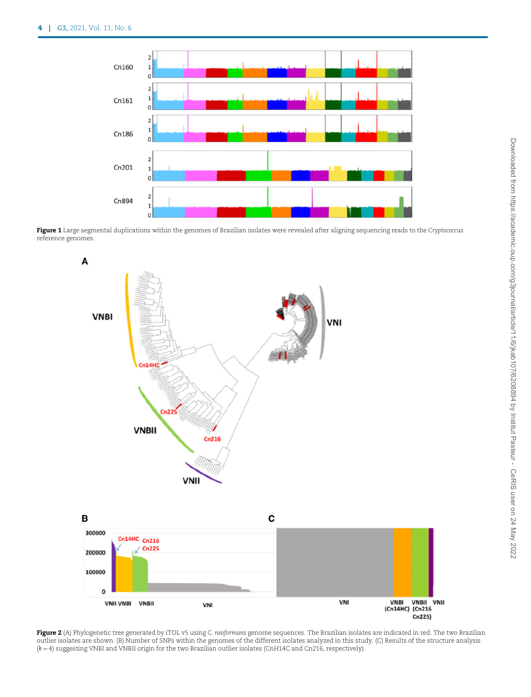

Figure 1 Large segmental duplications within the genomes of Brazilian isolates were revealed after aligning sequencing reads to the Cryptococcus reference genomes.



Figure 2 (A) Phylogenetic tree generated by iTOL v5 using C. neoformans genome sequences. The Brazilian isolates are indicated in red. The two Brazilian outlier isolates are shown. (B) Number of SNPs within the genomes of the different isolates analyzed in this study. (C) Results of the structure analysis  $(k = 4)$  suggesting VNBI and VNBII origin for the two Brazilian outlier isolates (CnH14C and Cn216, respectively).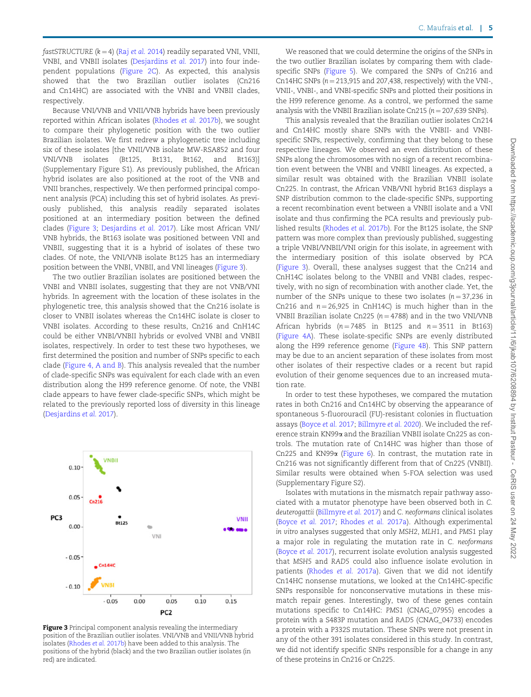fastSTRUCTURE  $(k = 4)$  (Raj et al. 2014) readily separated VNI, VNII, VNBI, and VNBII isolates (Desjardins et al. 2017) into four independent populations (Figure 2C). As expected, this analysis showed that the two Brazilian outlier isolates (Cn216 and Cn14HC) are associated with the VNBI and VNBII clades,

Because VNI/VNB and VNII/VNB hybrids have been previously reported within African isolates (Rhodes et al. 2017b), we sought to compare their phylogenetic position with the two outlier Brazilian isolates. We first redrew a phylogenetic tree including six of these isolates [the VNII/VNB isolate MW-RSA852 and four VNI/VNB isolates (Bt125, Bt131, Bt162, and Bt163)] (Supplementary Figure S1). As previously published, the African hybrid isolates are also positioned at the root of the VNB and VNII branches, respectively. We then performed principal component analysis (PCA) including this set of hybrid isolates. As previously published, this analysis readily separated isolates positioned at an intermediary position between the defined clades (Figure 3; Desjardins et al. 2017). Like most African VNI/ VNB hybrids, the Bt163 isolate was positioned between VNI and VNBII, suggesting that it is a hybrid of isolates of these two clades. Of note, the VNI/VNB isolate Bt125 has an intermediary position between the VNBI, VNBII, and VNI lineages (Figure 3).

respectively.

The two outlier Brazilian isolates are positioned between the VNBI and VNBII isolates, suggesting that they are not VNB/VNI hybrids. In agreement with the location of these isolates in the phylogenetic tree, this analysis showed that the Cn216 isolate is closer to VNBII isolates whereas the Cn14HC isolate is closer to VNBI isolates. According to these results, Cn216 and CnH14C could be either VNBI/VNBII hybrids or evolved VNBI and VNBII isolates, respectively. In order to test these two hypotheses, we first determined the position and number of SNPs specific to each clade (Figure 4, A and B). This analysis revealed that the number of clade-specific SNPs was equivalent for each clade with an even distribution along the H99 reference genome. Of note, the VNBI clade appears to have fewer clade-specific SNPs, which might be related to the previously reported loss of diversity in this lineage (Desjardins et al. 2017).



Figure 3 Principal component analysis revealing the intermediary position of the Brazilian outlier isolates. VNI/VNB and VNII/VNB hybrid isolates (Rhodes et al. 2017b) have been added to this analysis. The positions of the hybrid (black) and the two Brazilian outlier isolates (in red) are indicated.

We reasoned that we could determine the origins of the SNPs in the two outlier Brazilian isolates by comparing them with cladespecific SNPs (Figure 5). We compared the SNPs of Cn216 and Cn14HC SNPs  $(n = 213,915$  and 207,438, respectively) with the VNI-, VNII-, VNBI-, and VNBI-specific SNPs and plotted their positions in the H99 reference genome. As a control, we performed the same analysis with the VNBII Brazilian isolate Cn215 ( $n = 207,639$  SNPs).

This analysis revealed that the Brazilian outlier isolates Cn214 and Cn14HC mostly share SNPs with the VNBII- and VNBIspecific SNPs, respectively, confirming that they belong to these respective lineages. We observed an even distribution of these SNPs along the chromosomes with no sign of a recent recombination event between the VNBI and VNBII lineages. As expected, a similar result was obtained with the Brazilian VNBII isolate Cn225. In contrast, the African VNB/VNI hybrid Bt163 displays a SNP distribution common to the clade-specific SNPs, supporting a recent recombination event between a VNBII isolate and a VNI isolate and thus confirming the PCA results and previously published results (Rhodes et al. 2017b). For the Bt125 isolate, the SNP pattern was more complex than previously published, suggesting a triple VNBI/VNBII/VNI origin for this isolate, in agreement with the intermediary position of this isolate observed by PCA (Figure 3). Overall, these analyses suggest that the Cn214 and CnH14C isolates belong to the VNBII and VNBI clades, respectively, with no sign of recombination with another clade. Yet, the number of the SNPs unique to these two isolates  $(n = 37,236)$  in Cn216 and  $n = 26,925$  in CnH14C) is much higher than in the VNBII Brazilian isolate Cn225 ( $n = 4788$ ) and in the two VNI/VNB African hybrids  $(n = 7485$  in Bt125 and  $n = 3511$  in Bt163) (Figure 4A). These isolate-specific SNPs are evenly distributed along the H99 reference genome (Figure 4B). This SNP pattern may be due to an ancient separation of these isolates from most other isolates of their respective clades or a recent but rapid evolution of their genome sequences due to an increased mutation rate.

In order to test these hypotheses, we compared the mutation rates in both Cn216 and Cn14HC by observing the appearance of spontaneous 5-fluorouracil (FU)-resistant colonies in fluctuation assays (Boyce et al. 2017; Billmyre et al. 2020). We included the reference strain KN99a and the Brazilian VNBII isolate Cn225 as controls. The mutation rate of Cn14HC was higher than those of Cn225 and KN99a (Figure 6). In contrast, the mutation rate in Cn216 was not significantly different from that of Cn225 (VNBII). Similar results were obtained when 5-FOA selection was used (Supplementary Figure S2).

Isolates with mutations in the mismatch repair pathway associated with a mutator phenotype have been observed both in C. deuterogattii (Billmyre et al. 2017) and C. neoformans clinical isolates (Boyce et al. 2017; Rhodes et al. 2017a). Although experimental in vitro analyses suggested that only MSH2, MLH1, and PMS1 play a major role in regulating the mutation rate in C. neoformans (Boyce et al. 2017), recurrent isolate evolution analysis suggested that MSH5 and RAD5 could also influence isolate evolution in patients (Rhodes et al. 2017a). Given that we did not identify Cn14HC nonsense mutations, we looked at the Cn14HC-specific SNPs responsible for nonconservative mutations in these mismatch repair genes. Interestingly, two of these genes contain mutations specific to Cn14HC: PMS1 (CNAG\_07955) encodes a protein with a S483P mutation and RAD5 (CNAG\_04733) encodes a protein with a P332S mutation. These SNPs were not present in any of the other 391 isolates considered in this study. In contrast, we did not identify specific SNPs responsible for a change in any of these proteins in Cn216 or Cn225.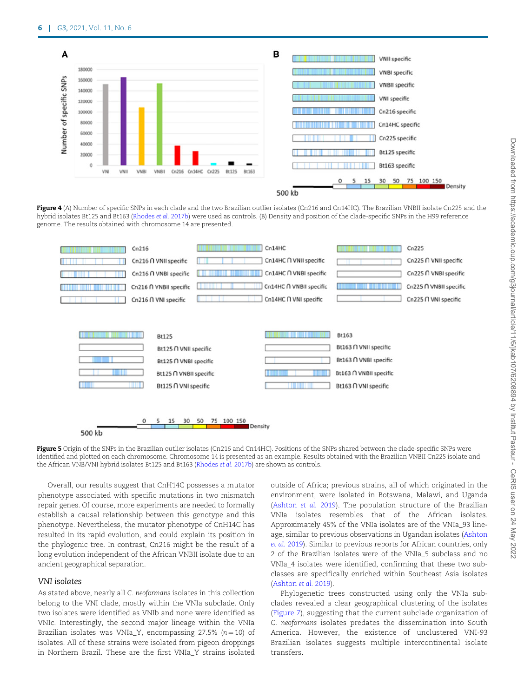

Figure 4 (A) Number of specific SNPs in each clade and the two Brazilian outlier isolates (Cn216 and Cn14HC). The Brazilian VNBII isolate Cn225 and the hybrid isolates Bt125 and Bt163 (Rhodes et al. 2017b) were used as controls. (B) Density and position of the clade-specific SNPs in the H99 reference genome. The results obtained with chromosome 14 are presented.



Figure 5 Origin of the SNPs in the Brazilian outlier isolates (Cn216 and Cn14HC). Positions of the SNPs shared between the clade-specific SNPs were identified and plotted on each chromosome. Chromosome 14 is presented as an example. Results obtained with the Brazilian VNBII Cn225 isolate and the African VNB/VNI hybrid isolates Bt125 and Bt163 (Rhodes et al. 2017b) are shown as controls.

Overall, our results suggest that CnH14C possesses a mutator phenotype associated with specific mutations in two mismatch repair genes. Of course, more experiments are needed to formally establish a causal relationship between this genotype and this phenotype. Nevertheless, the mutator phenotype of CnH14C has resulted in its rapid evolution, and could explain its position in the phylogenic tree. In contrast, Cn216 might be the result of a long evolution independent of the African VNBII isolate due to an ancient geographical separation.

# VNI isolates

As stated above, nearly all C. neoformans isolates in this collection belong to the VNI clade, mostly within the VNIa subclade. Only two isolates were identified as VNIb and none were identified as VNIc. Interestingly, the second major lineage within the VNIa Brazilian isolates was VNIa\_Y, encompassing 27.5%  $(n = 10)$  of isolates. All of these strains were isolated from pigeon droppings in Northern Brazil. These are the first VNIa\_Y strains isolated

outside of Africa; previous strains, all of which originated in the environment, were isolated in Botswana, Malawi, and Uganda (Ashton et al. 2019). The population structure of the Brazilian VNIa isolates resembles that of the African isolates. Approximately 45% of the VNIa isolates are of the VNIa\_93 lineage, similar to previous observations in Ugandan isolates (Ashton et al. 2019). Similar to previous reports for African countries, only 2 of the Brazilian isolates were of the VNIa\_5 subclass and no VNIa\_4 isolates were identified, confirming that these two subclasses are specifically enriched within Southeast Asia isolates (Ashton et al. 2019).

Phylogenetic trees constructed using only the VNIa subclades revealed a clear geographical clustering of the isolates (Figure 7), suggesting that the current subclade organization of C. neoformans isolates predates the dissemination into South America. However, the existence of unclustered VNI-93 Brazilian isolates suggests multiple intercontinental isolate transfers.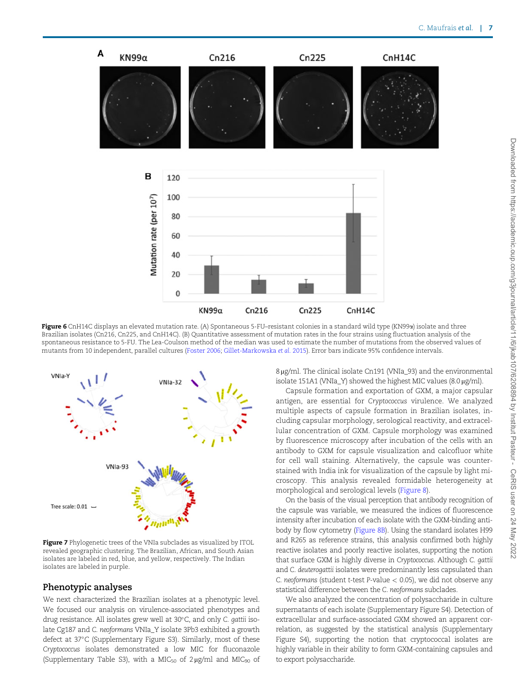

Figure 6 CnH14C displays an elevated mutation rate. (A) Spontaneous 5-FU-resistant colonies in a standard wild type (KN99a) isolate and three Brazilian isolates (Cn216, Cn225, and CnH14C). (B) Quantitative assessment of mutation rates in the four strains using fluctuation analysis of the spontaneous resistance to 5-FU. The Lea-Coulson method of the median was used to estimate the number of mutations from the observed values of mutants from 10 independent, parallel cultures (Foster 2006; Gillet-Markowska et al. 2015). Error bars indicate 95% confidence intervals.



Figure 7 Phylogenetic trees of the VNIa subclades as visualized by ITOL revealed geographic clustering. The Brazilian, African, and South Asian isolates are labeled in red, blue, and yellow, respectively. The Indian isolates are labeled in purple.

#### Phenotypic analyses

We next characterized the Brazilian isolates at a phenotypic level. We focused our analysis on virulence-associated phenotypes and drug resistance. All isolates grew well at 30°C, and only C. gattii isolate Cg187 and C. neoformans VNIa\_Y isolate 3Pb3 exhibited a growth defect at 37°C (Supplementary Figure S3). Similarly, most of these Cryptococcus isolates demonstrated a low MIC for fluconazole (Supplementary Table S3), with a MIC<sub>50</sub> of  $2 \mu g/ml$  and MIC<sub>90</sub> of 8 µg/ml. The clinical isolate Cn191 (VNIa\_93) and the environmental isolate 151A1 (VNIa\_Y) showed the highest MIC values  $(8.0 \,\mu\text{g/ml})$ .

Capsule formation and exportation of GXM, a major capsular antigen, are essential for Cryptococcus virulence. We analyzed multiple aspects of capsule formation in Brazilian isolates, including capsular morphology, serological reactivity, and extracellular concentration of GXM. Capsule morphology was examined by fluorescence microscopy after incubation of the cells with an antibody to GXM for capsule visualization and calcofluor white for cell wall staining. Alternatively, the capsule was counterstained with India ink for visualization of the capsule by light microscopy. This analysis revealed formidable heterogeneity at morphological and serological levels (Figure 8).

On the basis of the visual perception that antibody recognition of the capsule was variable, we measured the indices of fluorescence intensity after incubation of each isolate with the GXM-binding antibody by flow cytometry (Figure 8B). Using the standard isolates H99 and R265 as reference strains, this analysis confirmed both highly reactive isolates and poorly reactive isolates, supporting the notion that surface GXM is highly diverse in Cryptococcus. Although C. gattii and C. deuterogattii isolates were predominantly less capsulated than C. neoformans (student t-test P-value  $< 0.05$ ), we did not observe any statistical difference between the C. neoformans subclades.

We also analyzed the concentration of polysaccharide in culture supernatants of each isolate (Supplementary Figure S4). Detection of extracellular and surface-associated GXM showed an apparent correlation, as suggested by the statistical analysis (Supplementary Figure S4), supporting the notion that cryptococcal isolates are highly variable in their ability to form GXM-containing capsules and to export polysaccharide.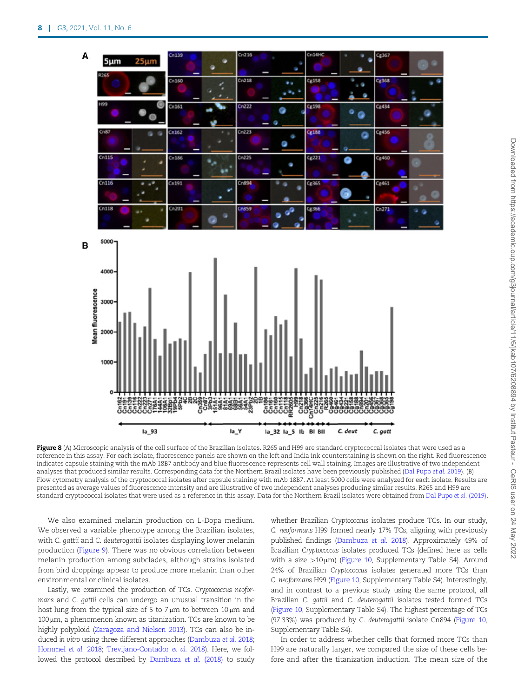

Figure 8 (A) Microscopic analysis of the cell surface of the Brazilian isolates. R265 and H99 are standard cryptococcal isolates that were used as a reference in this assay. For each isolate, fluorescence panels are shown on the left and India ink counterstaining is shown on the right. Red fluorescence indicates capsule staining with the mAb 18B7 antibody and blue fluorescence represents cell wall staining. Images are illustrative of two independent analyses that produced similar results. Corresponding data for the Northern Brazil isolates have been previously published (Dal Pupo et al. 2019). (B) Flow cytometry analysis of the cryptococcal isolates after capsule staining with mAb 18B7. At least 5000 cells were analyzed for each isolate. Results are presented as average values of fluorescence intensity and are illustrative of two independent analyses producing similar results. R265 and H99 are standard cryptococcal isolates that were used as a reference in this assay. Data for the Northern Brazil isolates were obtained from Dal Pupo et al. (2019).

We also examined melanin production on L-Dopa medium. We observed a variable phenotype among the Brazilian isolates, with C. gattii and C. deuterogattii isolates displaying lower melanin production (Figure 9). There was no obvious correlation between melanin production among subclades, although strains isolated from bird droppings appear to produce more melanin than other environmental or clinical isolates.

Lastly, we examined the production of TCs. Cryptococcus neoformans and C. gattii cells can undergo an unusual transition in the host lung from the typical size of 5 to 7  $\mu$ m to between 10  $\mu$ m and  $100 \,\mu$ m, a phenomenon known as titanization. TCs are known to be highly polyploid (Zaragoza and Nielsen 2013). TCs can also be induced in vitro using three different approaches (Dambuza et al. 2018; Hommel et al. 2018; Trevijano-Contador et al. 2018). Here, we followed the protocol described by Dambuza et al. (2018) to study whether Brazilian Cryptococcus isolates produce TCs. In our study, C. neoformans H99 formed nearly 17% TCs, aligning with previously published findings (Dambuza et al. 2018). Approximately 49% of Brazilian Cryptococcus isolates produced TCs (defined here as cells with a size  $>10 \mu m$ ) (Figure 10, Supplementary Table S4). Around 24% of Brazilian Cryptococcus isolates generated more TCs than C. neoformans H99 (Figure 10, Supplementary Table S4). Interestingly, and in contrast to a previous study using the same protocol, all Brazilian C. gattii and C. deuterogattii isolates tested formed TCs (Figure 10, Supplementary Table S4). The highest percentage of TCs (97.33%) was produced by C. deuterogattii isolate Cn894 (Figure 10, Supplementary Table S4).

In order to address whether cells that formed more TCs than H99 are naturally larger, we compared the size of these cells before and after the titanization induction. The mean size of the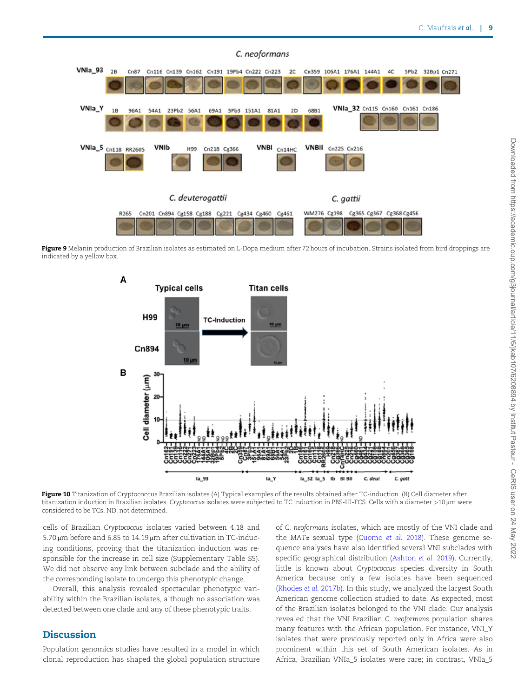

Figure 9 Melanin production of Brazilian isolates as estimated on L-Dopa medium after 72 hours of incubation. Strains isolated from bird droppings are indicated by a yellow box.



Figure 10 Titanization of Cryptococcus Brazilian isolates (A) Typical examples of the results obtained after TC-induction. (B) Cell diameter after titanization induction in Brazilian isolates. Cryptococcus isolates were subjected to TC induction in PBS-HI-FCS. Cells with a diameter >10 µm were considered to be TCs. ND, not determined.

cells of Brazilian Cryptococcus isolates varied between 4.18 and  $5.70 \,\mu m$  before and 6.85 to 14.19  $\mu m$  after cultivation in TC-inducing conditions, proving that the titanization induction was responsible for the increase in cell size (Supplementary Table S5). We did not observe any link between subclade and the ability of the corresponding isolate to undergo this phenotypic change.

Overall, this analysis revealed spectacular phenotypic variability within the Brazilian isolates, although no association was detected between one clade and any of these phenotypic traits.

# **Discussion**

Population genomics studies have resulted in a model in which clonal reproduction has shaped the global population structure

of C. neoformans isolates, which are mostly of the VNI clade and the MAT $\alpha$  sexual type (Cuomo et al. 2018). These genome sequence analyses have also identified several VNI subclades with specific geographical distribution (Ashton et al. 2019). Currently, little is known about Cryptococcus species diversity in South America because only a few isolates have been sequenced (Rhodes et al. 2017b). In this study, we analyzed the largest South American genome collection studied to date. As expected, most of the Brazilian isolates belonged to the VNI clade. Our analysis revealed that the VNI Brazilian C. neoformans population shares many features with the African population. For instance, VNI\_Y isolates that were previously reported only in Africa were also prominent within this set of South American isolates. As in Africa, Brazilian VNIa\_5 isolates were rare; in contrast, VNIa\_5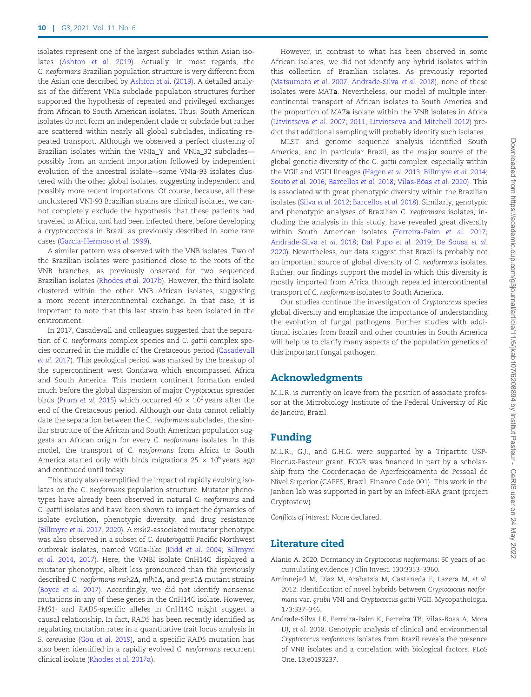isolates represent one of the largest subclades within Asian isolates (Ashton et al. 2019). Actually, in most regards, the C. neoformans Brazilian population structure is very different from the Asian one described by Ashton et al. (2019). A detailed analysis of the different VNIa subclade population structures further supported the hypothesis of repeated and privileged exchanges from African to South American isolates. Thus, South American isolates do not form an independent clade or subclade but rather are scattered within nearly all global subclades, indicating repeated transport. Although we observed a perfect clustering of Brazilian isolates within the VNIa\_Y and VNIa\_32 subclades possibly from an ancient importation followed by independent evolution of the ancestral isolate—some VNIa-93 isolates clustered with the other global isolates, suggesting independent and possibly more recent importations. Of course, because, all these unclustered VNI-93 Brazilian strains are clinical isolates, we cannot completely exclude the hypothesis that these patients had traveled to Africa, and had been infected there, before developing a cryptococcosis in Brazil as previously described in some rare cases (Garcia-Hermoso et al. 1999).

A similar pattern was observed with the VNB isolates. Two of the Brazilian isolates were positioned close to the roots of the VNB branches, as previously observed for two sequenced Brazilian isolates (Rhodes et al. 2017b). However, the third isolate clustered within the other VNB African isolates, suggesting a more recent intercontinental exchange. In that case, it is important to note that this last strain has been isolated in the environment.

In 2017, Casadevall and colleagues suggested that the separation of C. neoformans complex species and C. gattii complex species occurred in the middle of the Cretaceous period (Casadevall et al. 2017). This geological period was marked by the breakup of the supercontinent west Gondawa which encompassed Africa and South America. This modern continent formation ended much before the global dispersion of major Cryptococcus spreader birds (Prum et al. 2015) which occurred 40  $\times$  10<sup>6</sup> years after the end of the Cretaceous period. Although our data cannot reliably date the separation between the C. neoformans subclades, the similar structure of the African and South American population suggests an African origin for every C. neoformans isolates. In this model, the transport of C. neoformans from Africa to South America started only with birds migrations 25  $\times$  10<sup>6</sup> years ago and continued until today.

This study also exemplified the impact of rapidly evolving isolates on the C. neoformans population structure. Mutator phenotypes have already been observed in natural C. neoformans and C. gattii isolates and have been shown to impact the dynamics of isolate evolution, phenotypic diversity, and drug resistance (Billmyre et al. 2017; 2020). A msh2-associated mutator phenotype was also observed in a subset of C. deuterogattii Pacific Northwest outbreak isolates, named VGIIa-like (Kidd et al. 2004; Billmyre et al. 2014, 2017). Here, the VNBI isolate CnH14C displayed a mutator phenotype, albeit less pronounced than the previously described C. neoformans msh2 $\Delta$ , mlh1 $\Delta$ , and pms1 $\Delta$  mutant strains (Boyce et al. 2017). Accordingly, we did not identify nonsense mutations in any of these genes in the CnH14C isolate. However, PMS1- and RAD5-specific alleles in CnH14C might suggest a causal relationship. In fact, RAD5 has been recently identified as regulating mutation rates in a quantitative trait locus analysis in S. cerevisiae (Gou et al. 2019), and a specific RAD5 mutation has also been identified in a rapidly evolved C. neoformans recurrent clinical isolate (Rhodes et al. 2017a).

However, in contrast to what has been observed in some African isolates, we did not identify any hybrid isolates within this collection of Brazilian isolates. As previously reported (Matsumoto et al. 2007; Andrade-Silva et al. 2018), none of these isolates were MATa. Nevertheless, our model of multiple intercontinental transport of African isolates to South America and the proportion of MATa isolate within the VNB isolates in Africa (Litvintseva et al. 2007; 2011; Litvintseva and Mitchell 2012) predict that additional sampling will probably identify such isolates.

MLST and genome sequence analysis identified South America, and in particular Brazil, as the major source of the global genetic diversity of the C. gattii complex, especially within the VGII and VGIII lineages (Hagen et al. 2013; Billmyre et al. 2014; Souto et al. 2016; Barcellos et al. 2018; Vilas-Bôas et al. 2020). This is associated with great phenotypic diversity within the Brazilian isolates (Silva et al. 2012; Barcellos et al. 2018). Similarly, genotypic and phenotypic analyses of Brazilian C. neoformans isolates, including the analysis in this study, have revealed great diversity within South American isolates (Ferreira-Paim et al. 2017; Andrade-Silva et al. 2018; Dal Pupo et al. 2019; De Sousa et al. 2020). Nevertheless, our data suggest that Brazil is probably not an important source of global diversity of C. neoformans isolates. Rather, our findings support the model in which this diversity is mostly imported from Africa through repeated intercontinental transport of C. neoformans isolates to South America.

Our studies continue the investigation of Cryptococcus species global diversity and emphasize the importance of understanding the evolution of fungal pathogens. Further studies with additional isolates from Brazil and other countries in South America will help us to clarify many aspects of the population genetics of this important fungal pathogen.

# Acknowledgments

M.L.R. is currently on leave from the position of associate professor at the Microbiology Institute of the Federal University of Rio de Janeiro, Brazil.

# Funding

M.L.R., G.J., and G.H.G. were supported by a Tripartite USP-Fiocruz-Pasteur grant. FCGR was financed in part by a scholarship from the Coordenação de Aperfeicoamento de Pessoal de Nível Superior (CAPES, Brazil, Finance Code 001). This work in the Janbon lab was supported in part by an Infect-ERA grant (project Cryptoview).

Conflicts of interest: None declared.

# Literature cited

- Alanio A. 2020. Dormancy in Cryptococcus neoformans: 60 years of accumulating evidence. J Clin Invest. 130:3353–3360.
- Aminnejad M, Diaz M, Arabatzis M, Castaneda E, Lazera M, et al. 2012. Identification of novel hybrids between Cryptococcus neoformans var. grubii VNI and Cryptococcus gattii VGII. Mycopathologia. 173:337–346.
- Andrade-Silva LE, Ferreira-Paim K, Ferreira TB, Vilas-Boas A, Mora DJ, et al. 2018. Genotypic analysis of clinical and environmental Cryptococcus neoformans isolates from Brazil reveals the presence of VNB isolates and a correlation with biological factors. PLoS One. 13:e0193237.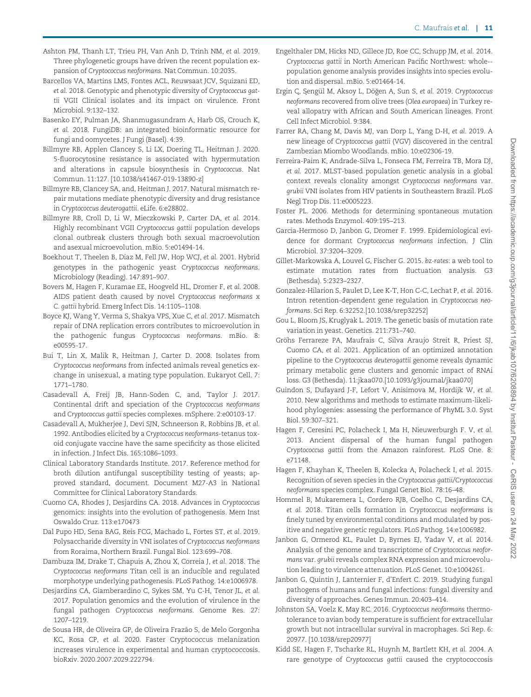- Ashton PM, Thanh LT, Trieu PH, Van Anh D, Trinh NM, et al. 2019. Three phylogenetic groups have driven the recent population expansion of Cryptococcus neoformans. Nat Commun. 10:2035.
- Barcellos VA, Martins LMS, Fontes ACL, Reuwsaat JCV, Squizani ED, et al. 2018. Genotypic and phenotypic diversity of Cryptococcus gattii VGII Clinical isolates and its impact on virulence. Front Microbiol. 9:132–132.
- Basenko EY, Pulman JA, Shanmugasundram A, Harb OS, Crouch K, et al. 2018. FungiDB: an integrated bioinformatic resource for fungi and oomycetes. J Fungi (Basel). 4:39.
- Billmyre RB, Applen Clancey S, Li LX, Doering TL, Heitman J. 2020. 5-fluorocytosine resistance is associated with hypermutation and alterations in capsule biosynthesis in Cryptococcus. Nat Commun. 11:127. [10.1038/s41467-019-13890-z]
- Billmyre RB, Clancey SA, and, Heitman J. 2017. Natural mismatch repair mutations mediate phenotypic diversity and drug resistance in Cryptococcus deuterogattii. eLife. 6:e28802.
- Billmyre RB, Croll D, Li W, Mieczkowski P, Carter DA, et al. 2014. Highly recombinant VGII Cryptococcus gattii population develops clonal outbreak clusters through both sexual macroevolution and asexual microevolution. mBio. 5:e01494-14.
- Boekhout T, Theelen B, Diaz M, Fell JW, Hop WCJ, et al. 2001. Hybrid genotypes in the pathogenic yeast Cryptococcus neoformans. Microbiology (Reading). 147:891–907.
- Bovers M, Hagen F, Kuramae EE, Hoogveld HL, Dromer F, et al. 2008. AIDS patient death caused by novel Cryptococcus neoformans x C. gattii hybrid. Emerg Infect Dis. 14:1105–1108.
- Boyce KJ, Wang Y, Verma S, Shakya VPS, Xue C, et al. 2017. Mismatch repair of DNA replication errors contributes to microevolution in the pathogenic fungus Cryptococcus neoformans. mBio. 8: e00595-17.
- Bui T, Lin X, Malik R, Heitman J, Carter D. 2008. Isolates from Cryptococcus neoformans from infected animals reveal genetics exchange in unisexual, a mating type population. Eukaryot Cell. 7: 1771–1780.
- Casadevall A, Freij JB, Hann-Soden C, and, Taylor J. 2017. Continental drift and speciation of the Cryptococcus neoformans and Cryptococcus gattii species complexes. mSphere. 2:e00103-17.
- Casadevall A, Mukherjee J, Devi SJN, Schneerson R, Robbins JB, et al. 1992. Antibodies elicited by a Cryptococcus neoformans-tetanus toxoid conjugate vaccine have the same specificity as those elicited in infection. J Infect Dis. 165:1086–1093.
- Clinical Laboratory Standards Institute. 2017. Reference method for broth dilution antifungal susceptibility testing of yeasts; approved standard, document. Document M27-A3 in National Committee for Clinical Laboratory Standards.
- Cuomo CA, Rhodes J, Desjardins CA. 2018. Advances in Cryptococcus genomics: insights into the evolution of pathogenesis. Mem Inst Oswaldo Cruz. 113:e170473
- Dal Pupo HD, Sena BAG, Reis FCG, Machado L, Fortes ST, et al. 2019. Polysaccharide diversity in VNI isolates of Cryptococcus neoformans from Roraima, Northern Brazil. Fungal Biol. 123:699–708.
- Dambuza IM, Drake T, Chapuis A, Zhou X, Correia J, et al. 2018. The Cryptococcus neoformans Titan cell is an inducible and regulated morphotype underlying pathogenesis. PLoS Pathog. 14:e1006978.
- Desjardins CA, Giamberardino C, Sykes SM, Yu C-H, Tenor JL, et al. 2017. Population genomics and the evolution of virulence in the fungal pathogen Cryptococcus neoformans. Genome Res. 27: 1207–1219.
- de Sousa HR, de Oliveira GP, de Oliveira Frazao S, de Melo Gorgonha ~ KC, Rosa CP, et al. 2020. Faster Cryptococcus melanization increases virulence in experimental and human cryptococcosis. bioRxiv. 2020.2007.2029.222794.
- Engelthaler DM, Hicks ND, Gillece JD, Roe CC, Schupp JM, et al. 2014. Cryptococcus gattii in North American Pacific Northwest: whole- population genome analysis provides insights into species evolution and dispersal. mBio. 5:e01464-14.
- Ergin Ç, Şengül M, Aksoy L, Döğen A, Sun S, et al. 2019. Cryptococcus neoformans recovered from olive trees (Olea europaea) in Turkey reveal allopatry with African and South American lineages. Front Cell Infect Microbiol. 9:384.
- Farrer RA, Chang M, Davis MJ, van Dorp L, Yang D-H, et al. 2019. A new lineage of Cryptococcus gattii (VGV) discovered in the central Zambezian Miombo Woodlands. mBio. 10:e02306-19.
- Ferreira-Paim K, Andrade-Silva L, Fonseca FM, Ferreira TB, Mora DJ, et al. 2017. MLST-based population genetic analysis in a global context reveals clonality amongst Cryptococcus neoformans var. grubii VNI isolates from HIV patients in Southeastern Brazil. PLoS Negl Trop Dis. 11:e0005223.
- Foster PL. 2006. Methods for determining spontaneous mutation rates. Methods Enzymol. 409:195–213.
- Garcia-Hermoso D, Janbon G, Dromer F. 1999. Epidemiological evidence for dormant Cryptococcus neoformans infection. J Clin Microbiol. 37:3204–3209.
- Gillet-Markowska A, Louvel G, Fischer G. 2015. bz-rates: a web tool to estimate mutation rates from fluctuation analysis. G3 (Bethesda). 5:2323–2327.
- Gonzalez-Hilarion S, Paulet D, Lee K-T, Hon C-C, Lechat P, et al. 2016. Intron retention-dependent gene regulation in Cryptococcus neoformans. Sci Rep. 6:32252.[10.1038/srep32252]
- Gou L, Bloom JS, Kruglyak L. 2019. The genetic basis of mutation rate variation in yeast. Genetics. 211:731–740.
- Gröhs Ferrareze PA, Maufrais C, Silva Araujo Streit R, Priest SJ, Cuomo CA, et al. 2021. Application of an optimized annotation pipeline to the Cryptococcus deuterogattii genome reveals dynamic primary metabolic gene clusters and genomic impact of RNAi loss. G3 (Bethesda). 11:jkaa070.[10.1093/g3journal/jkaa070]
- Guindon S, Dufayard J-F, Lefort V, Anisimova M, Hordijk W, et al. 2010. New algorithms and methods to estimate maximum-likelihood phylogenies: assessing the performance of PhyML 3.0. Syst Biol. 59:307–321.
- Hagen F, Ceresini PC, Polacheck I, Ma H, Nieuwerburgh F. V, et al. 2013. Ancient dispersal of the human fungal pathogen Cryptococcus gattii from the Amazon rainforest. PLoS One. 8: e71148.
- Hagen F, Khayhan K, Theelen B, Kolecka A, Polacheck I, et al. 2015. Recognition of seven species in the Cryptococcus gattii/Cryptococcus neoformans species complex. Fungal Genet Biol. 78:16–48.
- Hommel B, Mukaremera L, Cordero RJB, Coelho C, Desjardins CA, et al. 2018. Titan cells formation in Cryptococcus neoformans is finely tuned by environmental conditions and modulated by positive and negative genetic regulators. PLoS Pathog. 14:e1006982.
- Janbon G, Ormerod KL, Paulet D, Byrnes EJ, Yadav V, et al. 2014. Analysis of the genome and transcriptome of Cryptococcus neoformans var. grubii reveals complex RNA expression and microevolution leading to virulence attenuation. PLoS Genet. 10:e1004261.
- Janbon G, Quintin J, Lanternier F, d'Enfert C. 2019. Studying fungal pathogens of humans and fungal infections: fungal diversity and diversity of approaches. Genes Immun. 20:403–414.
- Johnston SA, Voelz K, May RC. 2016. Cryptococcus neoformans thermotolerance to avian body temperature is sufficient for extracellular growth but not intracellular survival in macrophages. Sci Rep. 6: 20977. [10.1038/srep20977]
- Kidd SE, Hagen F, Tscharke RL, Huynh M, Bartlett KH, et al. 2004. A rare genotype of Cryptococcus gattii caused the cryptococcosis